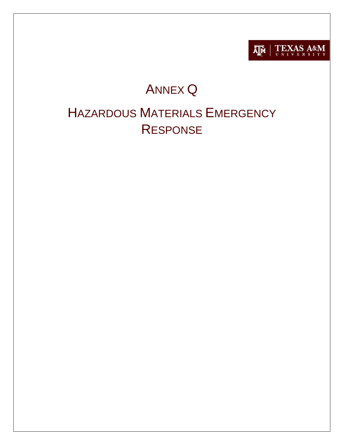

# **ANNEX Q**

# **HAZARDOUS MATERIALS EMERGENCY RESPONSE**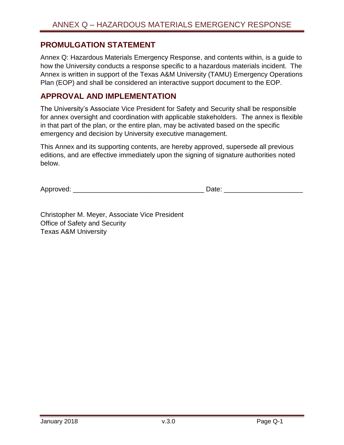## <span id="page-1-0"></span>**PROMULGATION STATEMENT**

Annex Q: Hazardous Materials Emergency Response, and contents within, is a guide to how the University conducts a response specific to a hazardous materials incident. The Annex is written in support of the Texas A&M University (TAMU) Emergency Operations Plan (EOP) and shall be considered an interactive support document to the EOP.

### <span id="page-1-1"></span>**APPROVAL AND IMPLEMENTATION**

The University's Associate Vice President for Safety and Security shall be responsible for annex oversight and coordination with applicable stakeholders. The annex is flexible in that part of the plan, or the entire plan, may be activated based on the specific emergency and decision by University executive management.

This Annex and its supporting contents, are hereby approved, supersede all previous editions, and are effective immediately upon the signing of signature authorities noted below.

Approved:  $\Box$ 

Christopher M. Meyer, Associate Vice President Office of Safety and Security Texas A&M University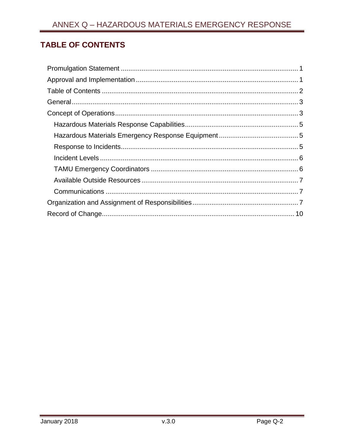# <span id="page-2-0"></span>**TABLE OF CONTENTS**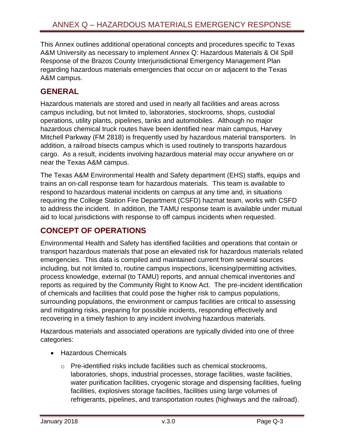This Annex outlines additional operational concepts and procedures specific to Texas A&M University as necessary to implement Annex Q: Hazardous Materials & Oil Spill Response of the Brazos County Interjurisdictional Emergency Management Plan regarding hazardous materials emergencies that occur on or adjacent to the Texas A&M campus.

# <span id="page-3-0"></span>**GENERAL**

Hazardous materials are stored and used in nearly all facilities and areas across campus including, but not limited to, laboratories, stockrooms, shops, custodial operations, utility plants, pipelines, tanks and automobiles. Although no major hazardous chemical truck routes have been identified near main campus, Harvey Mitchell Parkway (FM 2818) is frequently used by hazardous material transporters. In addition, a railroad bisects campus which is used routinely to transports hazardous cargo. As a result, incidents involving hazardous material may occur anywhere on or near the Texas A&M campus.

The Texas A&M Environmental Health and Safety department (EHS) staffs, equips and trains an on-call response team for hazardous materials. This team is available to respond to hazardous material incidents on campus at any time and, in situations requiring the College Station Fire Department (CSFD) hazmat team, works with CSFD to address the incident. In addition, the TAMU response team is available under mutual aid to local jurisdictions with response to off campus incidents when requested.

# <span id="page-3-1"></span>**CONCEPT OF OPERATIONS**

Environmental Health and Safety has identified facilities and operations that contain or transport hazardous materials that pose an elevated risk for hazardous materials related emergencies. This data is compiled and maintained current from several sources including, but not limited to, routine campus inspections, licensing/permitting activities, process knowledge, external (to TAMU) reports, and annual chemical inventories and reports as required by the Community Right to Know Act. The pre-incident identification of chemicals and facilities that could pose the higher risk to campus populations, surrounding populations, the environment or campus facilities are critical to assessing and mitigating risks, preparing for possible incidents, responding effectively and recovering in a timely fashion to any incident involving hazardous materials.

Hazardous materials and associated operations are typically divided into one of three categories:

- Hazardous Chemicals
	- o Pre-identified risks include facilities such as chemical stockrooms, laboratories, shops, industrial processes, storage facilities, waste facilities, water purification facilities, cryogenic storage and dispensing facilities, fueling facilities, explosives storage facilities, facilities using large volumes of refrigerants, pipelines, and transportation routes (highways and the railroad).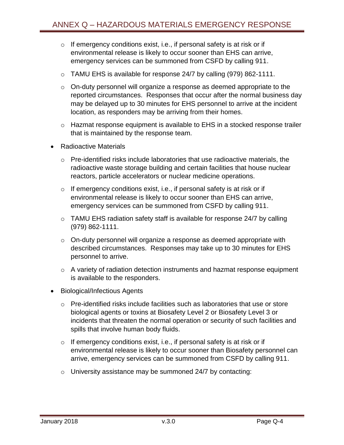- $\circ$  If emergency conditions exist, i.e., if personal safety is at risk or if environmental release is likely to occur sooner than EHS can arrive, emergency services can be summoned from CSFD by calling 911.
- o TAMU EHS is available for response 24/7 by calling (979) 862-1111.
- o On-duty personnel will organize a response as deemed appropriate to the reported circumstances. Responses that occur after the normal business day may be delayed up to 30 minutes for EHS personnel to arrive at the incident location, as responders may be arriving from their homes.
- o Hazmat response equipment is available to EHS in a stocked response trailer that is maintained by the response team.
- Radioactive Materials
	- o Pre-identified risks include laboratories that use radioactive materials, the radioactive waste storage building and certain facilities that house nuclear reactors, particle accelerators or nuclear medicine operations.
	- $\circ$  If emergency conditions exist, i.e., if personal safety is at risk or if environmental release is likely to occur sooner than EHS can arrive, emergency services can be summoned from CSFD by calling 911.
	- o TAMU EHS radiation safety staff is available for response 24/7 by calling (979) 862-1111.
	- o On-duty personnel will organize a response as deemed appropriate with described circumstances. Responses may take up to 30 minutes for EHS personnel to arrive.
	- o A variety of radiation detection instruments and hazmat response equipment is available to the responders.
- Biological/Infectious Agents
	- o Pre-identified risks include facilities such as laboratories that use or store biological agents or toxins at Biosafety Level 2 or Biosafety Level 3 or incidents that threaten the normal operation or security of such facilities and spills that involve human body fluids.
	- $\circ$  If emergency conditions exist, i.e., if personal safety is at risk or if environmental release is likely to occur sooner than Biosafety personnel can arrive, emergency services can be summoned from CSFD by calling 911.
	- o University assistance may be summoned 24/7 by contacting: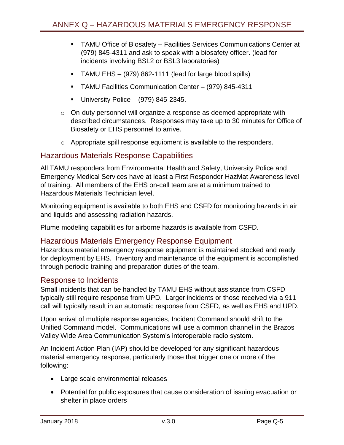- TAMU Office of Biosafety Facilities Services Communications Center at (979) 845-4311 and ask to speak with a biosafety officer. (lead for incidents involving BSL2 or BSL3 laboratories)
- TAMU EHS (979) 862-1111 (lead for large blood spills)
- TAMU Facilities Communication Center (979) 845-4311
- University Police  $-$  (979) 845-2345.
- $\circ$  On-duty personnel will organize a response as deemed appropriate with described circumstances. Responses may take up to 30 minutes for Office of Biosafety or EHS personnel to arrive.
- o Appropriate spill response equipment is available to the responders.

## <span id="page-5-0"></span>Hazardous Materials Response Capabilities

All TAMU responders from Environmental Health and Safety, University Police and Emergency Medical Services have at least a First Responder HazMat Awareness level of training. All members of the EHS on-call team are at a minimum trained to Hazardous Materials Technician level.

Monitoring equipment is available to both EHS and CSFD for monitoring hazards in air and liquids and assessing radiation hazards.

Plume modeling capabilities for airborne hazards is available from CSFD.

#### <span id="page-5-1"></span>Hazardous Materials Emergency Response Equipment

Hazardous material emergency response equipment is maintained stocked and ready for deployment by EHS. Inventory and maintenance of the equipment is accomplished through periodic training and preparation duties of the team.

#### <span id="page-5-2"></span>Response to Incidents

Small incidents that can be handled by TAMU EHS without assistance from CSFD typically still require response from UPD. Larger incidents or those received via a 911 call will typically result in an automatic response from CSFD, as well as EHS and UPD.

Upon arrival of multiple response agencies, Incident Command should shift to the Unified Command model. Communications will use a common channel in the Brazos Valley Wide Area Communication System's interoperable radio system.

An Incident Action Plan (IAP) should be developed for any significant hazardous material emergency response, particularly those that trigger one or more of the following:

- Large scale environmental releases
- Potential for public exposures that cause consideration of issuing evacuation or shelter in place orders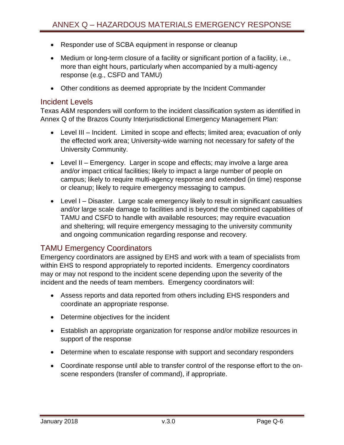- Responder use of SCBA equipment in response or cleanup
- Medium or long-term closure of a facility or significant portion of a facility, i.e., more than eight hours, particularly when accompanied by a multi-agency response (e.g., CSFD and TAMU)
- Other conditions as deemed appropriate by the Incident Commander

#### <span id="page-6-0"></span>Incident Levels

Texas A&M responders will conform to the incident classification system as identified in Annex Q of the Brazos County Interjurisdictional Emergency Management Plan:

- Level III Incident. Limited in scope and effects; limited area; evacuation of only the effected work area; University-wide warning not necessary for safety of the University Community.
- Level II Emergency. Larger in scope and effects; may involve a large area and/or impact critical facilities; likely to impact a large number of people on campus; likely to require multi-agency response and extended (in time) response or cleanup; likely to require emergency messaging to campus.
- Level I Disaster. Large scale emergency likely to result in significant casualties and/or large scale damage to facilities and is beyond the combined capabilities of TAMU and CSFD to handle with available resources; may require evacuation and sheltering; will require emergency messaging to the university community and ongoing communication regarding response and recovery.

## <span id="page-6-1"></span>TAMU Emergency Coordinators

Emergency coordinators are assigned by EHS and work with a team of specialists from within EHS to respond appropriately to reported incidents. Emergency coordinators may or may not respond to the incident scene depending upon the severity of the incident and the needs of team members. Emergency coordinators will:

- Assess reports and data reported from others including EHS responders and coordinate an appropriate response.
- Determine objectives for the incident
- Establish an appropriate organization for response and/or mobilize resources in support of the response
- Determine when to escalate response with support and secondary responders
- Coordinate response until able to transfer control of the response effort to the onscene responders (transfer of command), if appropriate.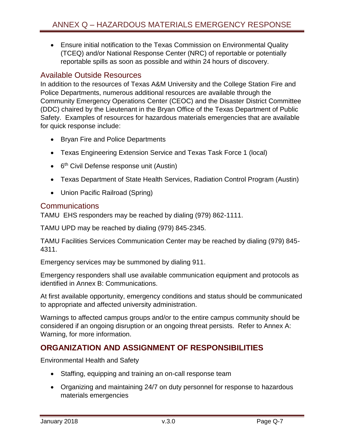Ensure initial notification to the Texas Commission on Environmental Quality (TCEQ) and/or National Response Center (NRC) of reportable or potentially reportable spills as soon as possible and within 24 hours of discovery.

## <span id="page-7-0"></span>Available Outside Resources

In addition to the resources of Texas A&M University and the College Station Fire and Police Departments, numerous additional resources are available through the Community Emergency Operations Center (CEOC) and the Disaster District Committee (DDC) chaired by the Lieutenant in the Bryan Office of the Texas Department of Public Safety. Examples of resources for hazardous materials emergencies that are available for quick response include:

- Bryan Fire and Police Departments
- Texas Engineering Extension Service and Texas Task Force 1 (local)
- 6<sup>th</sup> Civil Defense response unit (Austin)
- Texas Department of State Health Services, Radiation Control Program (Austin)
- Union Pacific Railroad (Spring)

#### <span id="page-7-1"></span>**Communications**

TAMU EHS responders may be reached by dialing (979) 862-1111.

TAMU UPD may be reached by dialing (979) 845-2345.

TAMU Facilities Services Communication Center may be reached by dialing (979) 845- 4311.

Emergency services may be summoned by dialing 911.

Emergency responders shall use available communication equipment and protocols as identified in Annex B: Communications.

At first available opportunity, emergency conditions and status should be communicated to appropriate and affected university administration.

Warnings to affected campus groups and/or to the entire campus community should be considered if an ongoing disruption or an ongoing threat persists. Refer to Annex A: Warning, for more information.

# <span id="page-7-2"></span>**ORGANIZATION AND ASSIGNMENT OF RESPONSIBILITIES**

Environmental Health and Safety

- Staffing, equipping and training an on-call response team
- Organizing and maintaining 24/7 on duty personnel for response to hazardous materials emergencies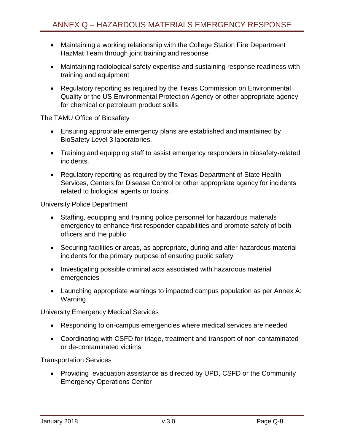- Maintaining a working relationship with the College Station Fire Department HazMat Team through joint training and response
- Maintaining radiological safety expertise and sustaining response readiness with training and equipment
- Regulatory reporting as required by the Texas Commission on Environmental Quality or the US Environmental Protection Agency or other appropriate agency for chemical or petroleum product spills

The TAMU Office of Biosafety

- Ensuring appropriate emergency plans are established and maintained by BioSafety Level 3 laboratories.
- Training and equipping staff to assist emergency responders in biosafety-related incidents.
- Regulatory reporting as required by the Texas Department of State Health Services, Centers for Disease Control or other appropriate agency for incidents related to biological agents or toxins.

University Police Department

- Staffing, equipping and training police personnel for hazardous materials emergency to enhance first responder capabilities and promote safety of both officers and the public
- Securing facilities or areas, as appropriate, during and after hazardous material incidents for the primary purpose of ensuring public safety
- Investigating possible criminal acts associated with hazardous material emergencies
- Launching appropriate warnings to impacted campus population as per Annex A: Warning

University Emergency Medical Services

- Responding to on-campus emergencies where medical services are needed
- Coordinating with CSFD for triage, treatment and transport of non-contaminated or de-contaminated victims

Transportation Services

• Providing evacuation assistance as directed by UPD, CSFD or the Community Emergency Operations Center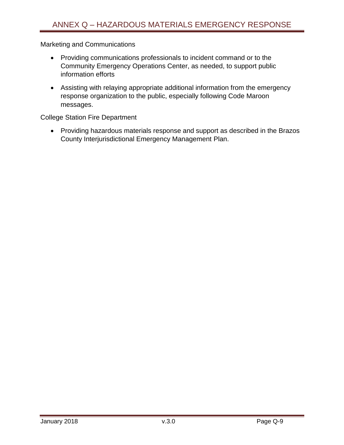Marketing and Communications

- Providing communications professionals to incident command or to the Community Emergency Operations Center, as needed, to support public information efforts
- Assisting with relaying appropriate additional information from the emergency response organization to the public, especially following Code Maroon messages.

College Station Fire Department

 Providing hazardous materials response and support as described in the Brazos County Interjurisdictional Emergency Management Plan.